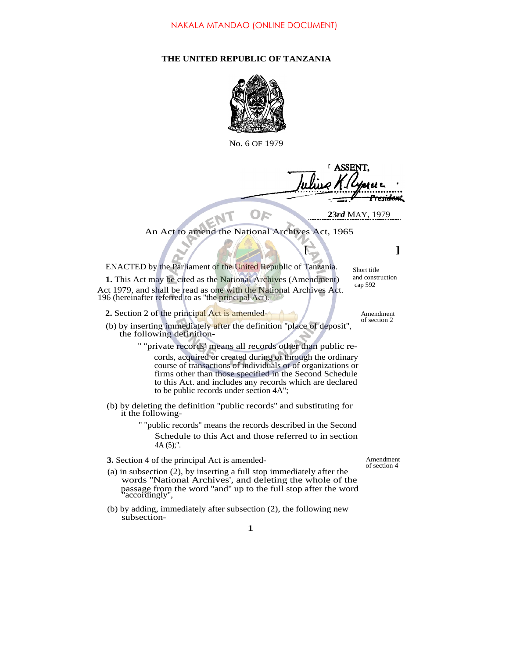## **THE UNITED REPUBLIC OF TANZANIA**



No. 6 OF 1979

**[ ]**

An Act to amend the National Archives Act, 1965

ENACTED by the Parliament of the United Republic of Tanzania.

**1.** This Act may be cited as the National Archives (Amendment) Act 1979, and shall be read as one with the National Archives Act. 196 (hereinafter referred to as ''the principal Act).

- **2.** Section 2 of the principal Act is amended- Amendment
- (b) by inserting immediately after the definition ''place of deposit'', the following definition-

'' ''private records' means all records other than public records, acquired or created during or through the ordinary course of transactions of individuals or of organizations or firms other than those specified in the Second Schedule to this Act. and includes any records which are declared to be public records under section 4A'';

(b) by deleting the definition ''public records'' and substituting for it the following-

> '' ''public records'' means the records described in the Second Schedule to this Act and those referred to in section 4A (5);''.

> > 1

- **3.** Section 4 of the principal Act is amended- Amendment
- (a) in subsection (2), by inserting a full stop immediately after the words ''National Archives', and deleting the whole of the passage from the word ''and'' up to the full stop after the word ''accordingly'',
- (b) by adding, immediately after subsection (2), the following new subsection-

of section 2

Short title and construction cap 592

**23***rd* MAY, 1979

<del>rsida</del>nt

**ASSENT** 

of section 4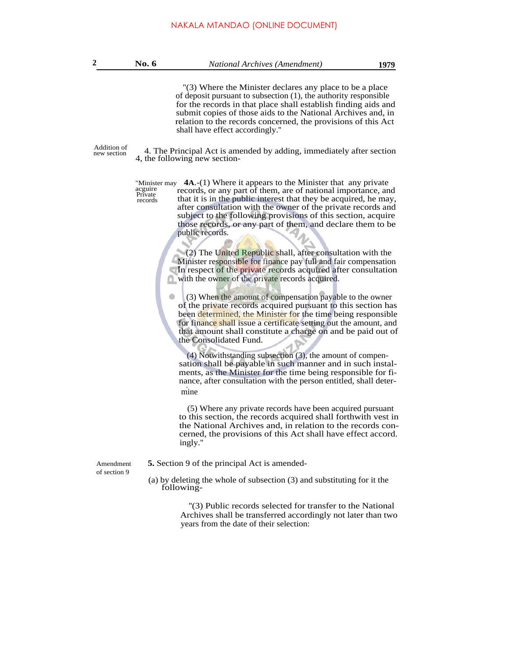**2 No. 6** *National Archives (Amendment)* **1979** ''(3) Where the Minister declares any place to be a place of deposit pursuant to subsection (1), the authority responsible for the records in that place shall establish finding aids and submit copies of those aids to the National Archives and, in

shall have effect accordingly.'' Addition of 4. The Principal Act is amended by adding, immediately after section

relation to the records concerned, the provisions of this Act

4, the following new section-

"Minister may **4A**.-(1) Where it appears to the Minister that any private acguire Private records records, or any part of them, are of national importance, and that it is in the public interest that they be acquired, he may, after consultation with the owner of the private records and subject to the following provisions of this section, acquire those records, or any part of them, and declare them to be public records.

> (2) The United Republic shall, after consultation with the  $(2)$  The United Republic shall, after consultation with the Minister responsible for finance pay full and fair compensation In respect of the private records acquired after consultation In respect of the private records acquired after consultation with the owner of the private records acquired.

(3) When the amount of compensation payable to the owner of the private records acquired pursuant to this section has been determined, the Minister for the time being responsible for finance shall issue a certificate setting out the amount, and that amount shall constitute a charge on and be paid out of the Consolidated Fund.

(4) Notwithstanding subsection (3), the amount of compensation shall be payable in such manner and in such instalments, as the Minister for the time being responsible for finance, after consultation with the person entitled, shall deter- . mine

(5) Where any private records have been acquired pursuant to this section, the records acquired shall forthwith vest in the National Archives and, in relation to the records concerned, the provisions of this Act shall have effect accord. ingly.''

Amendment **5.** Section 9 of the principal Act is amended-

(a) by deleting the whole of subsection (3) and substituting for it the following-

> ''(3) Public records selected for transfer to the National Archives shall be transferred accordingly not later than two years from the date of their selection:

of section 9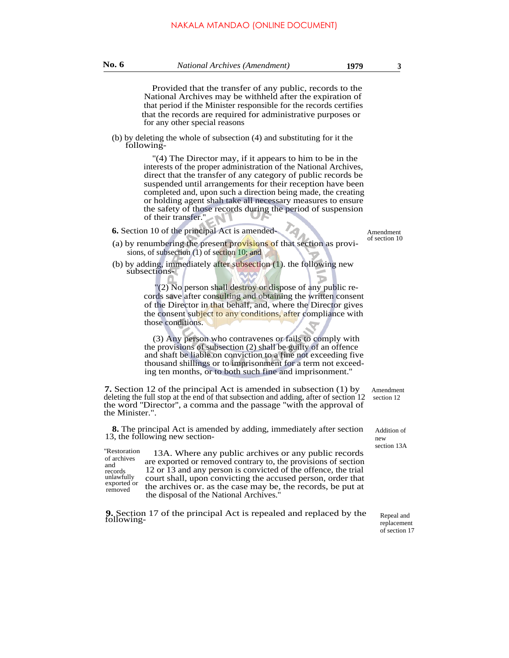**No. 6** *National Archives (Amendment)* **1979 <sup>3</sup>**

(b) by deleting the whole of subsection (4) and substituting for it the following-

> ''(4) The Director may, if it appears to him to be in the interests of the proper administration of the National Archives, direct that the transfer of any category of public records be suspended until arrangements for their reception have been completed and, upon such a direction being made, the creating or holding agent shah take all necessary measures to ensure the safety of those records during the period of suspension of their transfer.''

- **6.** Section 10 of the principal Act is amended- Amendment
- (a) by renumbering the present provisions of that section as provisions, of subsection (1) of section 10; and
- (b) by adding, immediately after subsection (1). the following new subsections-

"(2) No person shall destroy or dispose of any public records save after consulting and obtaining the written consent of the Director in that behalf, and, where the Director gives the consent subject to any conditions, after compliance with those conditions.

(3) Any person who contravenes or fails to comply with the provisions of subsection (2) shall be guilty of an offence and shaft be liable on conviction to a fine not exceeding five thousand shillings or to imprisonment for a term not exceeding ten months, or to both such fine and imprisonment.''

**7.** Section 12 of the principal Act is amended in subsection (1) by deleting the full stop at the end of that subsection and adding, after of section 12 the word ''Director'', a comma and the passage ''with the approval of the Minister.".

**8.** The principal Act is amended by adding, immediately after section 13, the following new section-

''Restoration 13A. Where any public archives or any public records are exported or removed contrary to, the provisions of section 12 or 13 and any person is convicted of the offence, the trial court shall, upon convicting the accused person, order that the archives or. as the case may be, the records, be put at the disposal of the National Archives.'' of archives and records unlawfully exported or removed

**9.** Section 17 of the principal Act is repealed and replaced by the following-

Amendment section 12

Addition of new section 13A

> Repeal and replacement of section 17

of section 10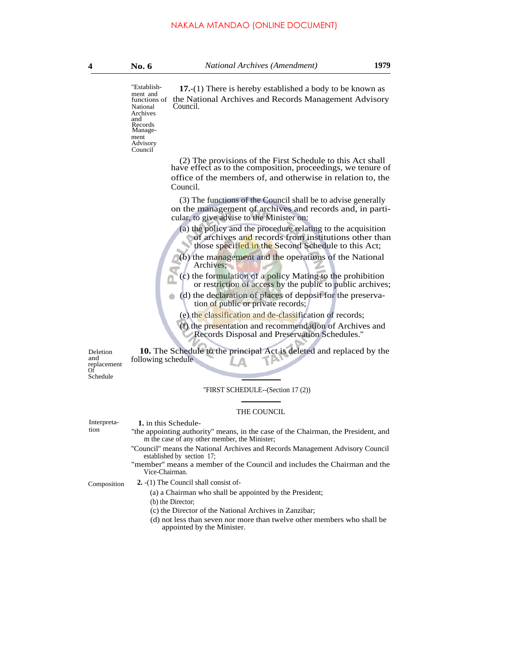"Establish- $17.-(1)$  There is hereby established a body to be known as ment and<br>functions of the National Archives and Records Management Advisory Council. National

Archives and Records Management Advisory Council

> (2) The provisions of the First Schedule to this Act shall have effect as to the composition, proceedings, we tenure of office of the members of, and otherwise in relation to, the Council.

> (3) The functions of the Council shall be to advise generally on the management of archives and records and, in particular, to give advise to the Minister on:

- (a) the policy and the procedure relating to the acquisition of archives and records from institutions other than those specified in the Second Schedule to this Act;
- (b) the management and the operations of the National Archives;
- (c) the formulation of a policy Mating to the prohibition or restriction of access by the public to public archives;
- (d) the declaration of places of deposit for the preservation of public or private records;
- (e) the classification and de-classification of records;
- (f) the presentation and recommendation of Archives and Records Disposal and Preservation Schedules.''

**10.** The Schedule to the principal Act is deleted and replaced by the following schedule

and replacement Of Schedule

Deletion

''FIRST SCHEDULE--(Section 17 (2))

## THE COUNCIL

Interpreta-<br>tion **1.** in this Schedule-<br>tion **1.** The appointing author

- "the appointing authority" means, in the case of the Chairman, the President, and m the case of any other member, the Minister;
- "Council" means the National Archives and Records Management Advisory Council established by section 17;
- "member'' means a member of the Council and includes the Chairman and the Vice-Chairman.

## Composition **2.** -(1) The Council shall consist of-

- (a) a Chairman who shall be appointed by the President;
- (b) the Director;

 $\bullet$ 

- (c) the Director of the National Archives in Zanzibar;
- (d) not less than seven nor more than twelve other members who shall be appointed by the Minister.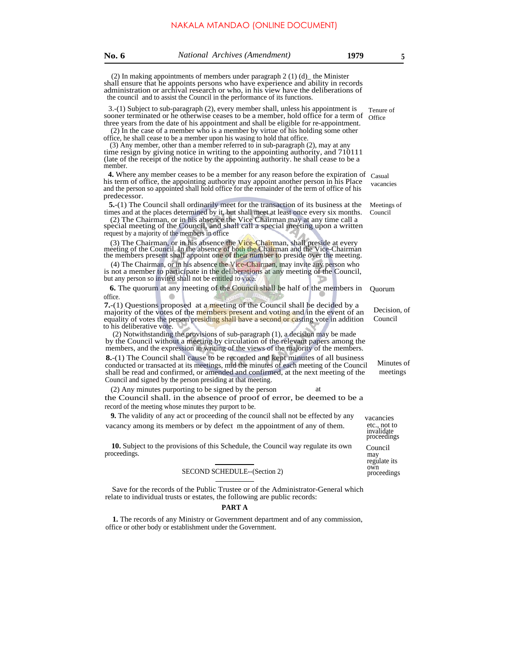| <b>No. 6</b>                                                                                                                                                            | National Archives (Amendment)                                                                                                                                                                                                                                                                                                                                                                                                                                                                                                                                                                                                                                                                        | 1979 | 5                                                      |
|-------------------------------------------------------------------------------------------------------------------------------------------------------------------------|------------------------------------------------------------------------------------------------------------------------------------------------------------------------------------------------------------------------------------------------------------------------------------------------------------------------------------------------------------------------------------------------------------------------------------------------------------------------------------------------------------------------------------------------------------------------------------------------------------------------------------------------------------------------------------------------------|------|--------------------------------------------------------|
|                                                                                                                                                                         | (2) In making appointments of members under paragraph $2(1)(d)$ the Minister<br>shall ensure that he appoints persons who have experience and ability in records<br>administration or archival research or who, in his view have the deliberations of<br>the council and to assist the Council in the performance of its functions.                                                                                                                                                                                                                                                                                                                                                                  |      |                                                        |
| member.                                                                                                                                                                 | 3.-(1) Subject to sub-paragraph (2), every member shall, unless his appointment is<br>sooner terminated or he otherwise ceases to be a member, hold office for a term of<br>three years from the date of his appointment and shall be eligible for re-appointment.<br>(2) In the case of a member who is a member by virtue of his holding some other<br>office, he shall cease to be a member upon his wasing to hold that office.<br>(3) Any member, other than a member referred to in sub-paragraph (2), may at any<br>time resign by giving notice in writing to the appointing authority, and 710111<br>(late of the receipt of the notice by the appointing authority, he shall cease to be a |      | Tenure of<br>Office                                    |
| predecessor.                                                                                                                                                            | <b>4.</b> Where any member ceases to be a member for any reason before the expiration of<br>his term of office, the appointing authority may appoint another person in his Place<br>and the person so appointed shall hold office for the remainder of the term of office of his                                                                                                                                                                                                                                                                                                                                                                                                                     |      | Casual<br>vacancies                                    |
|                                                                                                                                                                         | <b>5.</b> -(1) The Council shall ordinarily meet for the transaction of its business at the<br>times and at the places determined by it, but shall meet at least once every six months.<br>(2) The Chairman, or in his absence the Vice Chairman may at any time call a<br>special meeting of the Council, and shall call a special meeting upon a written<br>request by a majority of the members in office.                                                                                                                                                                                                                                                                                        |      | Meetings of<br>Council                                 |
|                                                                                                                                                                         | (3) The Chairman, or in his absence the Vice-Chairman, shall preside at every<br>meeting of the Council. In the absence of both the Chairman and the Vice-Chairman<br>the members present shall appoint one of their number to preside over the meeting.                                                                                                                                                                                                                                                                                                                                                                                                                                             |      |                                                        |
|                                                                                                                                                                         | (4) The Chairman, or in his absence the Vice-Chairman, may invite any person who<br>is not a member to participate in the deliberations at any meeting of the Council,<br>but any person so invited shall not be entitled to vote.                                                                                                                                                                                                                                                                                                                                                                                                                                                                   |      |                                                        |
|                                                                                                                                                                         | <b>6.</b> The quorum at any meeting of the Council shall be half of the members in                                                                                                                                                                                                                                                                                                                                                                                                                                                                                                                                                                                                                   |      | Quorum                                                 |
| office.<br>to his deliberative vote.                                                                                                                                    | <b>7.</b> -(1) Questions proposed at a meeting of the Council shall be decided by a<br>majority of the votes of the members present and voting and in the event of an<br>equality of votes the person presiding shall have a second or casting vote in addition                                                                                                                                                                                                                                                                                                                                                                                                                                      |      | Decision, of<br>Council                                |
|                                                                                                                                                                         | (2) Notwithstanding the provisions of sub-paragraph (1), a decision may be made<br>by the Council without a meeting by circulation of the relevant papers among the<br>members, and the expression in writing of the views of the majority of the members.                                                                                                                                                                                                                                                                                                                                                                                                                                           |      |                                                        |
|                                                                                                                                                                         | <b>8.</b> -(1) The Council shall cause to be recorded and kept minutes of all business<br>conducted or transacted at its meetings, mid the minutes of each meeting of the Council<br>shall be read and confirmed, or amended and confirmed, at the next meeting of the<br>Council and signed by the person presiding at that meeting.                                                                                                                                                                                                                                                                                                                                                                |      | Minutes of<br>meetings                                 |
|                                                                                                                                                                         | (2) Any minutes purporting to be signed by the person<br>the Council shall, in the absence of proof of error, be deemed to be a<br>record of the meeting whose minutes they purport to be.                                                                                                                                                                                                                                                                                                                                                                                                                                                                                                           | at   |                                                        |
|                                                                                                                                                                         | 9. The validity of any act or proceeding of the council shall not be effected by any                                                                                                                                                                                                                                                                                                                                                                                                                                                                                                                                                                                                                 |      |                                                        |
|                                                                                                                                                                         | vacancy among its members or by defect m the appointment of any of them.                                                                                                                                                                                                                                                                                                                                                                                                                                                                                                                                                                                                                             |      | vacancies<br>etc., not to<br>invalidate<br>proceedings |
| proceedings.                                                                                                                                                            | 10. Subject to the provisions of this Schedule, the Council way regulate its own                                                                                                                                                                                                                                                                                                                                                                                                                                                                                                                                                                                                                     |      | Council<br>may<br>regulate its                         |
|                                                                                                                                                                         | SECOND SCHEDULE--(Section 2)                                                                                                                                                                                                                                                                                                                                                                                                                                                                                                                                                                                                                                                                         |      | own<br>proceedings                                     |
| Save for the records of the Public Trustee or of the Administrator-General which<br>relate to individual trusts or estates, the following are public records:<br>PART A |                                                                                                                                                                                                                                                                                                                                                                                                                                                                                                                                                                                                                                                                                                      |      |                                                        |
|                                                                                                                                                                         | 1. The records of any Ministry or Government department and of any commission,<br>office or other body or establishment under the Government.                                                                                                                                                                                                                                                                                                                                                                                                                                                                                                                                                        |      |                                                        |